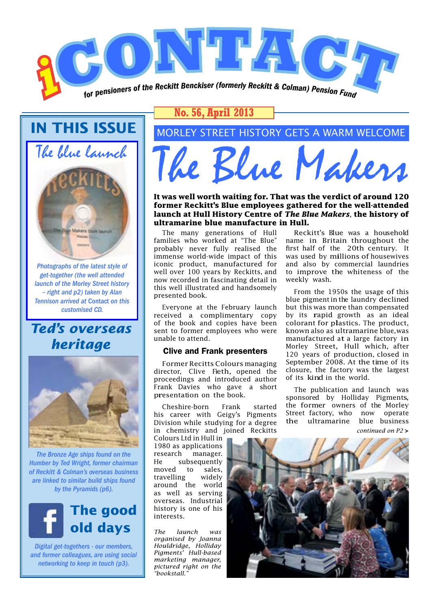

**IN THIS ISSUE** The blue launch



*Photographs of the latest style of get-together (the well attended launch of the Morley Street history – right and p2) taken by Alan Tennison arrived at* Contact *on this customised CD.*

### *Ted's overseas heritage*



*The Bronze Age ships found on the Humber by Ted Wright, former chairman of Reckitt & Colman's overseas business are linked to similar build ships found by the Pyramids (p6).* 



*Digital get-togethers - our members, and former colleagues, are using social networking to keep in touch (p3).*

### **No. 56, April 2013**

### MORLEY STREET HISTORY GETS A WARM WELCOME

The Blue Makers

**It was well worth waiting for. That was the verdict of around 120 former Reckitt's Blue employees gathered for the well-attended launch at Hull History Centre of** *The Blue Makers,* **the history of ultramarine blue manufacture in Hull.**

The many generations of Hull families who worked at "The Blue" probably never fully realised the immense world-wide impact of this iconic product, manufactured for well over 100 years by Reckitts, and now recorded in fascinating detail in this well illustrated and handsomely presented book.

Everyone at the February launch received a complimentary copy of the book and copies have been sent to former employees who were unable to attend.

#### Clive and Frank presenters

Former Recitts Colours managing director, Clive Fieth, opened the proceedings and introduced author Frank Davies who gave a short presentation on the book.

Cheshire-born Frank started his career with Geigy's Pigments Division while studying for a degree in chemistry and joined Reckitts

Colours Ltd in Hull in 1980 as applications research manager. He subsequently moved to sales, travelling widely around the world as well as serving overseas. Industrial history is one of his interests.

*The launch was organised by Joanna Houldridge, Holliday Pigments' Hull-based marketing manager, pictured right on the "bookstall."*

Reckitt's Blue was a household name in Britain throughout the first half of the 20th century. It was used by millions of housewives and also by commercial laundries to improve the whiteness of the weekly wash.

From the 1950s the usage of this blue pigment in the laundry declined but this was more than compensated by its rapid growth as an ideal colorant for plastics. The product, known also as ultramarine blue,was manufactured at a large factory in Morley Street, Hull which, after 120 years of production, closed in September 2008. At the time of its closure, the factory was the largest of its kind in the world.

The publication and launch was sponsored by Holliday Pigments, the former owners of the Morley Street factory, who now operate the ultramarine blue business *continued on P2* **>**

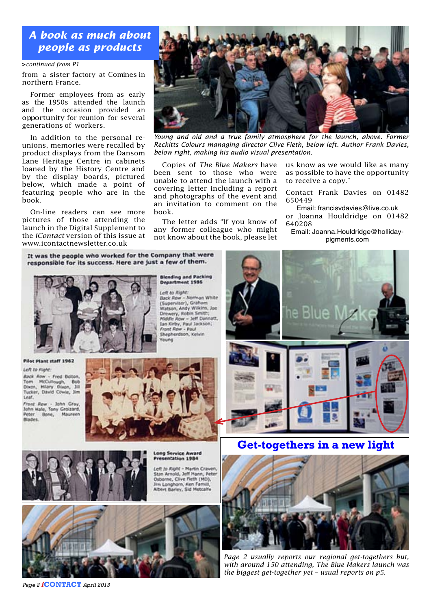*A book as much about people as products*

#### **>***continued from P1*

from a sister factory at Comines in northern France.

Former employees from as early as the 1950s attended the launch and the occasion provided an opportunity for reunion for several generations of workers.

In addition to the personal reunions, memories were recalled by product displays from the Dansom Lane Heritage Centre in cabinets loaned by the History Centre and by the display boards, pictured below, which made a point of featuring people who are in the book.

On-line readers can see more pictures of those attending the launch in the Digital Supplement to the *iContact* version of this issue at www.icontactnewsletter.co.uk

*Young and old and a true family atmosphere for the launch, above. Former Reckitts Colours managing director Clive Fieth, below left. Author Frank Davies, below right, making his audio visual presentation.*

Copies of *The Blue Makers* have been sent to those who were unable to attend the launch with a covering letter including a report and photographs of the event and an invitation to comment on the book.

The letter adds "If you know of any former colleague who might not know about the book, please let

**Blending and Packing** 

nent 1986

Back Row - Norman White<br>(Supervisor), Graham Watson, Andy Wikins, Joe<br>Drewery, Robin Smith;

Middle Row - Jeff Dannatt,<br>Ian Kirby, Paul Jackson;<br>Front Row - Paul<br>Shepherdson, Kelvin

Departn

una

eft to Right:

us know as we would like as many as possible to have the opportunity to receive a copy."

Contact Frank Davies on 01482 650449

Email: [francisvdavies@live.co.uk](mailto:francisvdavies@live.co.uk) or Joanna Houldridge on 01482 640208

Email: [Joanna.Houldridge@holliday](mailto:Joanna.Houldridge@holliday-pigments.com)[pigments.com](mailto:Joanna.Houldridge@holliday-pigments.com)

It was the people who worked for the Company that were responsible for its success. Here are just a few of them.



Pilot Plant staff 1962

Left to Right:

Back Row - Fred Bolton, Tom McCullough, Bob<br>Dixon, Hilary Dixon, 311<br>Tucker, David Cowie, 31m Leaf.

Front Row - John Gray,<br>John Hale, Tony Groizard,<br>Peter Bone, Maureen **BEARAS** 





ong Service Award **Presentation 1984** 

Left to Right - Martin Crayen Stan Arnold, Jeff Mann, Pete Osborne, Clive Fieth (MD),<br>Jim Longhorn, Ken Farnill, Albert Barley, Sid Metcalfe



*Page 2 i***CONTACT** *April 2013*



**Get-togethers in a new light**



*Page 2 usually reports our regional get-togethers but, with around 150 attending, The Blue Makers launch was the biggest get-together yet – usual reports on p5.*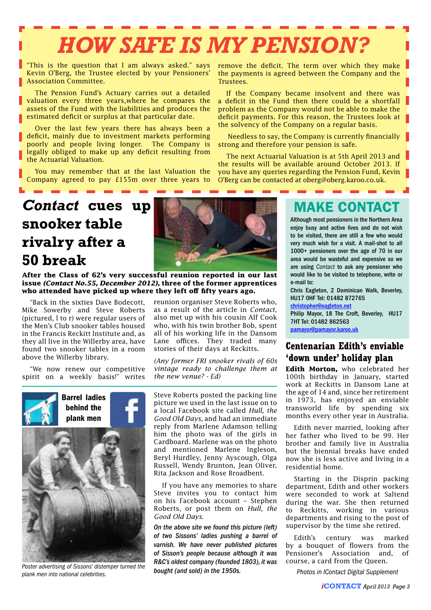# *HOW SAFE IS MY PENSION?*

"This is the question that I am always asked." says Kevin O'Berg, the Trustee elected by your Pensioners' Association Committee.

The Pension Fund's Actuary carries out a detailed valuation every three years,where he compares the assets of the Fund with the liabilities and produces the estimated deficit or surplus at that particular date.

Over the last few years there has always been a deficit, mainly due to investment markets performing poorly and people living longer. The Company is legally obliged to make up any deficit resulting from the Actuarial Valuation.

You may remember that at the last Valuation the Company agreed to pay £155m over three years to

remove the deficit. The term over which they make the payments is agreed between the Company and the Trustees.

If the Company became insolvent and there was a deficit in the Fund then there could be a shortfall problem as the Company would not be able to make the deficit payments. For this reason, the Trustees look at the solvency of the Company on a regular basis.

 Needless to say, the Company is currently financially strong and therefore your pension is safe.

The next Actuarial Valuation is at 5th April 2013 and the results will be available around October 2013. If you have any queries regarding the Pension Fund, Kevin O'Berg can be contacted at oberg@oberg.karoo.co.uk.

## *Contact* **cues up snooker table rivalry after a 50 break**

**After the Class of 62's very successful reunion reported in our last issue** *(Contact No.55, December 2012),* **three of the former apprentices who attended have picked up where they left off fifty years ago.** 

"Back in the sixties Dave Bodecott, Mike Sowerby and Steve Roberts (pictured, l to r) were regular users of the Men's Club snooker tables housed in the Francis Reckitt Institute and, as they all live in the Willerby area, have found two snooker tables in a room above the Willerby library.

"We now renew our competitive spirit on a weekly basis!" writes



*Poster advertising of Sissons' distemper turned the plank men into national celebrities.*



reunion organiser Steve Roberts who, as a result of the article in *Contact,*  also met up with his cousin Alf Cook who, with his twin brother Bob, spent all of his working life in the Dansom Lane offices. They traded many stories of their days at Reckitts.

*(Any former FRI snooker rivals of 60s vintage ready to challenge them at the new venue? - Ed)*

Steve Roberts posted the packing line picture we used in the last issue on to a local Facebook site called *Hull, the Good Old Days,* and had an immediate reply from Marlene Adamson telling him the photo was of the girls in Cardboard. Marlene was on the photo and mentioned Marlene Ingleson, Beryl Hurdley, Jenny Ayscough, Olga Russell, Wendy Brunton, Jean Oliver, Rita Jackson and Rose Broadbent.

If you have any memories to share Steve invites you to contact him on his Facebook account – Stephen Roberts, or post them on *Hull, the Good Old Days.*

*On the above site we found this picture (left) of two Sissons' ladies pushing a barrel of varnish. We have never published pictures of Sisson's people because although it was R&C's oldest company (founded 1803), it was bought (and sold) in the 1950s.* 

### MAKE CONTACT

Although most pensioners in the Northern Area enjoy busy and active lives and do not wish to be visited, there are still a few who would very much wish for a visit. A mail-shot to all 1000+ pensioners over the age of 70 in our area would be wasteful and expensive so we are using *Contact* to ask any pensioner who would like to be visited to telephone, write or e-mail to:

Chris Eagleton, 2 Dominican Walk, Beverley, HU17 0HF Tel: 01482 872765

[christopher@eagleton.net](mailto:christopher@eagleton.net)

Philip Mayor, 18 The Croft, Beverley, HU17 7HT Tel: 01482 862563 [pamayor@pamayor.karoo.uk](mailto:pamayor@pamayor.karoo.uk)

### **Centenarian Edith's enviable 'down under' holiday plan**

**Edith Morton,** who celebrated her 100th birthday in January, started work at Reckitts in Dansom Lane at the age of 14 and, since her retirement in 1973, has enjoyed an enviable transworld life by spending six months every other year in Australia.

Edith never married, looking after her father who lived to be 99. Her brother and family live in Australia but the biennial breaks have ended now she is less active and living in a residential home.

Starting in the Disprin packing department, Edith and other workers were seconded to work at Saltend during the war. She then returned to Reckitts, working in various departments and rising to the post of supervisor by the time she retired.

Edith's century was marked by a bouquet of flowers from the Pensioner's Association and, of course, a card from the Queen.

*Photos in IContact Digital Supplement*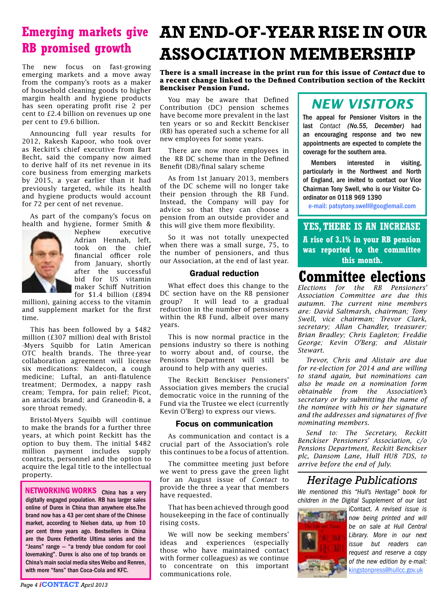# **RB promised growth**

The new focus on fast-growing emerging markets and a move away from the company's roots as a maker of household cleaning goods to higher margin health and hygiene products has seen operating profit rise 2 per cent to £2.4 billion on revenues up one per cent to £9.6 billion.

Announcing full year results for 2012, Rakesh Kapoor, who took over as Reckitt's chief executive from Bart Becht, said the company now aimed to derive half of its net revenue in its core business from emerging markets by 2015, a year earlier than it had previously targeted, while its health and hygiene products would account for 72 per cent of net revenue.

As part of the company's focus on health and hygiene, former Smith &



Nephew executive Adrian Hennah, left, took on the chief financial officer role from January, shortly after the successful bid for US vitamin maker Schiff Nutrition for \$1.4 billion (£894

million), gaining access to the vitamin and supplement market for the first time.

This has been followed by a \$482 million (£307 million) deal with Bristol -Myers Squibb for Latin American OTC health brands. The three-year collaboration agreement will license six medications: Naldecon, a cough medicine; Luftal, an anti-flatulence treatment; Dermodex, a nappy rash cream; Tempra, for pain relief; Picot, an antacids brand; and Graneodin-B, a sore throat remedy.

Bristol-Myers Squibb will continue to make the brands for a further three years, at which point Reckitt has the option to buy them. The initial \$482 million payment includes supply contracts, personnel and the option to acquire the legal title to the intellectual property.

**NETWORKING WORKS** China has a very digitally engaged population. RB has larger sales online of Durex in China than anywhere else.The brand now has a 43 per cent share of the Chinese market, according to Nielsen data, up from 10 per cent three years ago. Bestsellers in China are the Durex Fetherlite Ultima series and the "Jeans" range — "a trendy blue condom for cool lovemaking". Durex is also one of top brands on China's main social media sites Weibo and Renren, with more "fans" than Coca-Cola and KFC.

## **Emerging markets give AN END-OF-YEAR RISE IN OUR ASSOCIATION MEMBERSHIP**

#### **There is a small increase in the print run for this issue of** *Contact* **due to a recent change linked to the Defined Contribution section of the Reckitt Benckiser Pension Fund.**

You may be aware that Defined Contribution (DC) pension schemes have become more prevalent in the last ten years or so and Reckitt Benckiser (RB) has operated such a scheme for all new employees for some years.

There are now more employees in the RB DC scheme than in the Defined Benefit (DB)/final salary scheme

As from 1st January 2013, members of the DC scheme will no longer take their pension through the RB Fund. Instead, the Company will pay for advice so that they can choose a pension from an outside provider and this will give them more flexibility.

So it was not totally unexpected when there was a small surge, 75, to the number of pensioners, and thus our Association, at the end of last year.

#### Gradual reduction

What effect does this change to the DC section have on the RB pensioner<br>group? It will lead to a gradual It will lead to a gradual reduction in the number of pensioners within the RB Fund, albeit over many years.

This is now normal practice in the pensions industry so there is nothing to worry about and, of course, the Pensions Department will still be around to help with any queries.

The Reckitt Benckiser Pensioners' Association gives members the crucial democratic voice in the running of the Fund via the Trustee we elect (currently Kevin O'Berg) to express our views.

#### Focus on communication

As communication and contact is a crucial part of the Association's role this continues to be a focus of attention.

The committee meeting just before we went to press gave the green light for an August issue of *Contact* to provide the three a year that members have requested.

That has been achieved through good housekeeping in the face of continually rising costs.

We will now be seeking members' ideas and experiences (especially those who have maintained contact with former colleagues) as we continue to concentrate on this important communications role.

### *NEW VISITORS*

The appeal for Pensioner Visitors in the last *Contact (No.55, December)* had an encouraging response and two new appointments are expected to complete the coverage for the southern area.

Members interested in visiting, particularly in the Northwest and North of England, are invited to contact our Vice Chairman Tony Swell, who is our Visitor Coordinator on 0118 969 1390

e-mail: patsytony.swell@googlemail.com

### **YES, THERE IS AN INCREASE A rise of 3.1% in your RB pension was reported to the committee this month.**

### **Committee elections**

*Elections for the RB Pensioners' Association Committee are due this autumn. The current nine members are: David Saltmarsh, chairman; Tony Swell, vice chairman; Trevor Clark, secretary; Allan Chandler, treasurer; Brian Bradley; Chris Eagleton; Freddie George; Kevin O'Berg; and Alistair Stewart.* 

*Trevor, Chris and Alistair are due for re-election for 2014 and are willing to stand again, but nominations can also be made on a nomination form obtainable from the Association's secretary or by submitting the name of the nominee with his or her signature and the addresses and signatures of five nominating members.*

*Send to: The Secretary, Reckitt Benckiser Pensioners' Association, c/o Pensions Department, Reckitt Benckiser plc, Dansom Lane, Hull HU8 7DS, to arrive before the end of July.* 

### *Heritage Publications*

*We mentioned this "Hull's Heritage" book for children in the Digital Supplement of our last* 



iContact. *A revised issue is now being printed and will be on sale at Hull Central Library. More in our next issue but readers can request and reserve a copy of the new edition by e-mail:*  [kingstonpress@hullcc.gov.uk](http://kingstonpress@hullcc.gov.uk )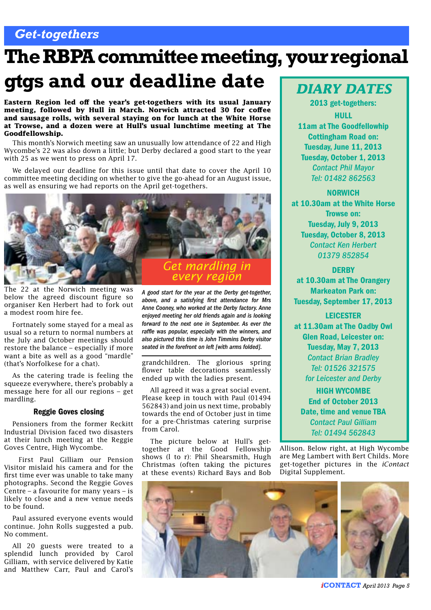### *Get-togethers*

# **The RBPA committee meeting, your regional**

## **gtgs and our deadline date**

**Eastern Region led off the year's get-togethers with its usual January meeting, followed by Hull in March. Norwich attracted 30 for coffee and sausage rolls, with several staying on for lunch at the White Horse at Trowse, and a dozen were at Hull's usual lunchtime meeting at The Goodfellowship.**

This month's Norwich meeting saw an unusually low attendance of 22 and High Wycombe's 22 was also down a little; but Derby declared a good start to the year with 25 as we went to press on April 17.

We delayed our deadline for this issue until that date to cover the April 10 committee meeting deciding on whether to give the go-ahead for an August issue, as well as ensuring we had reports on the April get-togethers.



The 22 at the Norwich meeting was below the agreed discount figure so organiser Ken Herbert had to fork out a modest room hire fee.

Fortnately some stayed for a meal as usual so a return to normal numbers at the July and October meetings should restore the balance – especially if more want a bite as well as a good "mardle" (that's Norfolkese for a chat).

As the catering trade is feeling the squeeze everywhere, there's probably a message here for all our regions – get mardling.

#### Reggie Goves closing

Pensioners from the former Reckitt Industrial Division faced two disasters at their lunch meeting at the Reggie Goves Centre, High Wycombe.

 First Paul Gilliam our Pension Visitor mislaid his camera and for the first time ever was unable to take many photographs. Second the Reggie Goves Centre – a favourite for many years – is likely to close and a new venue needs to be found.

Paul assured everyone events would continue. John Rolls suggested a pub. No comment.

All 20 guests were treated to a splendid lunch provided by Carol Gilliam, with service delivered by Katie and Matthew Carr, Paul and Carol's

*A good start for the year at the Derby get-together, above, and a satisfying first attendance for Mrs Anne Cooney, who worked at the Derby factory. Anne enjoyed meeting her old friends again and is looking forward to the next one in September. As ever the raffle was popular, especially with the winners, and also pictured this time is John Timmins Derby visitor seated in the forefront on left [with arms folded].*

grandchildren. The glorious spring flower table decorations seamlessly ended up with the ladies present.

All agreed it was a great social event. Please keep in touch with Paul (01494 562843) and join us next time, probably towards the end of October just in time for a pre-Christmas catering surprise from Carol.

The picture below at Hull's gettogether at the Good Fellowship shows (l to r): Phil Shearsmith, Hugh Christmas (often taking the pictures at these events) Richard Bays and Bob

### *DIARY DATES*

2013 get-togethers: HULL

11am at The Goodfellowhip Cottingham Road on: Tuesday, June 11, 2013 Tuesday, October 1, 2013 *Contact Phil Mayor Tel: 01482 862563*

#### NORWICH

at 10.30am at the White Horse Trowse on: Tuesday, July 9, 2013 Tuesday, October 8, 2013 *Contact Ken Herbert 01379 852854*

#### **DERBY**

at 10.30am at The Orangery Markeaton Park on: Tuesday, September 17, 2013

LEICESTER at 11.30am at The Oadby Owl Glen Road, Leicester on: Tuesday, May 7, 2013 *Contact Brian Bradley Tel: 01526 321575*

*for Leicester and Derby*

HIGH WYCOMBE End of October 2013 Date, time and venue TBA *Contact Paul Gilliam Tel: 01494 562843*

Allison. Below right, at High Wycombe are Meg Lambert with Bert Childs. More get-together pictures in the *iContact*  Digital Supplement.



*i***CONTACT** *April 2013 Page 5*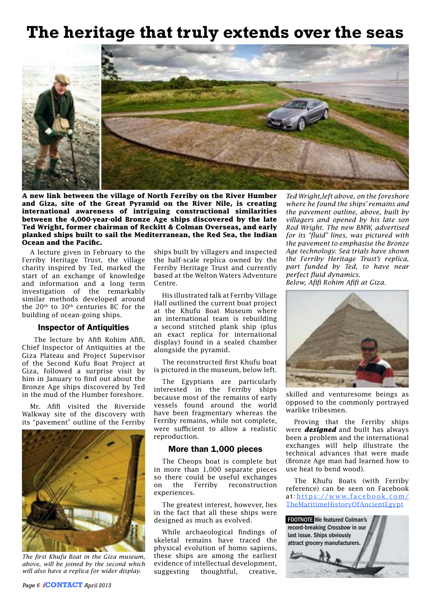## **The heritage that truly extends over the seas**



**A new link between the village of North Ferriby on the River Humber and Giza, site of the Great Pyramid on the River Nile, is creating international awareness of intriguing constructional similarities between the 4,000-year-old Bronze Age ships discovered by the late Ted Wright, former chairman of Reckitt & Colman Overseas, and early planked ships built to sail the Mediterranean, the Red Sea, the Indian Ocean and the Pacific.**

A lecture given in February to the Ferriby Heritage Trust, the village charity inspired by Ted, marked the start of an exchange of knowledge and information and a long term investigation of the remarkably similar methods developed around the 20<sup>th</sup> to 30<sup>th</sup> centuries BC for the building of ocean-going ships.

#### Inspector of Antiquities

 The lecture by Afifi Rohim Afifi, Chief Inspector of Antiquities at the Giza Plateau and Project Supervisor of the Second Kufu Boat Project at Giza, followed a surprise visit by him in January to find out about the Bronze Age ships discovered by Ted in the mud of the Humber foreshore.

Mr. Afifi visited the Riverside Walkway site of the discovery with its "pavement" outline of the Ferriby



*The first Khufu Boat in the Giza museum, above, will be joined by the second which will also have a replica for wider display.*

ships built by villagers and inspected the half-scale replica owned by the Ferriby Heritage Trust and currently based at the Welton Waters Adventure Centre.

His illustrated talk at Ferriby Village Hall outlined the current boat project at the Khufu Boat Museum where an international team is rebuilding a second stitched plank ship (plus an exact replica for international display) found in a sealed chamber alongside the pyramid.

The reconstructed first Khufu boat is pictured in the museum, below left.

The Egyptians are particularly interested in the Ferriby ships because most of the remains of early vessels found around the world have been fragmentary whereas the Ferriby remains, while not complete, were sufficient to allow a realistic reproduction.

#### More than 1,000 pieces

The Cheops boat is complete but in more than 1,000 separate pieces so there could be useful exchanges on the Ferriby reconstruction experiences.

The greatest interest, however, lies in the fact that all these ships were designed as much as evolved.

While archaeological findings of skeletal remains have traced the physical evolution of homo sapiens, these ships are among the earliest evidence of intellectual development, suggesting thoughtful, creative,

*Ted Wright,left above, on the foreshore where he found the ships' remains and the pavement outline, above, built by villagers and opened by his late son Rod Wright. The new BMW, advertised for its "fluid" lines, was pictured with the pavement to emphasise the Bronze Age technology. Sea trials have shown the Ferriby Heritage Trust's replica, part funded by Ted, to have near perfect fluid dynamics. Below, Afifi Rohim Afifi at Giza.*



skilled and venturesome beings as opposed to the commonly portrayed warlike tribesmen.

Proving that the Ferriby ships were *designed* and built has always been a problem and the international exchanges will help illustrate the technical advances that were made (Bronze Age man had learned how to use heat to bend wood).

The Khufu Boats (with Ferriby reference) can be seen on Facebook at:[https://www.facebook.com/](https://www.facebook.com/TheMaritimeHistoryOfAncientEgypt) [TheMaritimeHistoryOfAncientEgypt](https://www.facebook.com/TheMaritimeHistoryOfAncientEgypt)

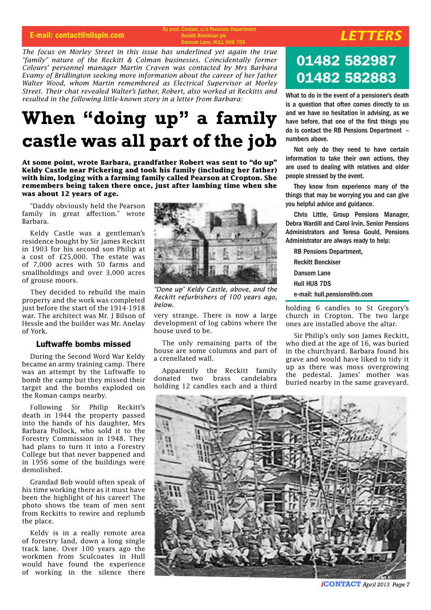#### E-mail: contact@nilspin.com *By post: Contact, c/o Pensions Department*<br>Beckitt Benckiser plc Reckitt Renckis Dansom Lane, HULL HU8 7DS

*The focus on Morley Street in this issue has underlined yet again the true "family" nature of the Reckitt & Colman businesses. Coincidentally former Colours' personnel manager Martin Craven was contacted by Mrs Barbara Evamy of Bridlington seeking more information about the career of her father Walter Wood, whom Martin remembered as Electrical Supervisor at Morley Street. Their chat revealed Walter's father, Robert, also worked at Reckitts and resulted in the following little-known story in a letter from Barbara:* 

## **When "doing up" a family castle was all part of the job**

**At some point, wrote Barbara, grandfather Robert was sent to "do up" Keldy Castle near Pickering and took his family (including her father) with him, lodging with a farming family called Pearson at Cropton. She remembers being taken there once, just after lambing time when she was about 12 years of age.**

"Daddy obviously held the Pearson family in great affection." wrote Barbara.

Keldy Castle was a gentleman's residence bought by Sir James Reckitt in 1903 for his second son Philip at a cost of £25,000. The estate was of 7,000 acres with 50 farms and smallholdings and over 3,000 acres of grouse moors.

They decided to rebuild the main property and the work was completed just before the start of the 1914-1918 war. The architect was Mr. J Bilson of Hessle and the builder was Mr. Anelay of York.

#### Luftwaffe bombs missed

During the Second Word War Keldy became an army training camp. There was an attempt by the Luftwaffe to bomb the camp but they missed their target and the bombs exploded on the Roman camps nearby.

Following Sir Philip Reckitt's death in 1944 the property passed into the hands of his daughter, Mrs Barbara Pollock, who sold it to the Forestry Commission in 1948. They had plans to turn it into a Forestry College but that never bappened and in 1956 some of the buildings were demolished.

Grandad Bob would often speak of his time working there as it must have been the highlight of his career! The photo shows the team of men sent from Reckitts to rewire and replumb the place.

Keldy is in a really remote area of forestry land, down a long single track lane. Over 100 years ago the workmen from Sculcoates in Hull would have found the experience of working in the silence there



*"Done up" Keldy Castle, above, and the Reckitt refurbishers of 100 years ago, below.*

very strange. There is now a large development of log cabins where the house used to be.

The only remaining parts of the house are some columns and part of a crenellated wall.

Apparently the Reckitt family donated two brass candelabra holding 12 candles each and a third

## 01482 582987 01482 582883

What to do in the event of a pensioner's death is a question that often comes directly to us and we have no hesitation in advising, as we have before, that one of the first things you do is contact the RB Pensions Department – numbers above.

Not only do they need to have certain information to take their own actions, they are used to dealing with relatives and older people stressed by the event.

They know from experience many of the things that may be worrying you and can give you helpful advice and guidance.

Chris Little, Group Pensions Manager, Debra Wardill and Carol Irvin, Senior Pensions Administrators and Teresa Gould, Pensions Administrator are always ready to help:

RB Pensions Department,

Reckitt Benckiser Dansom Lane Hull HU8 7DS e-mail: hull.pensions@rb.com

holding 6 candles to St Gregory's church in Cropton. The two large ones are installed above the altar.

Sir Philip's only son James Reckitt, who died at the age of 16, was buried in the churchyard. Barbara found his grave and would have liked to tidy it up as there was moss overgrowing the pedestal. James' mother was buried nearby in the same graveyard.



*i***CONTACT** *April 2013 Page 7*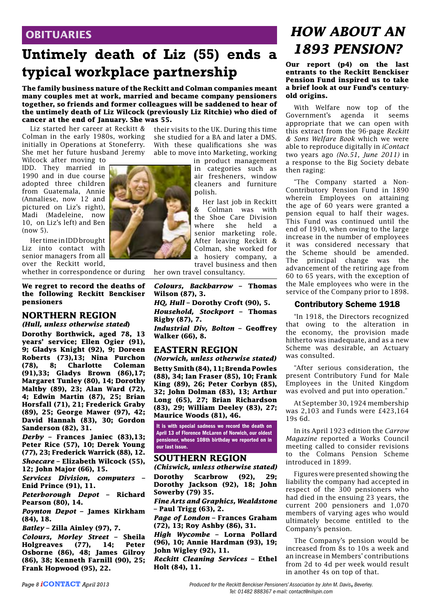### **OBITUARIES**

### **Untimely death of Liz (55) ends a typical workplace partnership**

**The family business nature of the Reckitt and Colman companies meant many couples met at work, married and became company pensioners together, so friends and former colleagues will be saddened to hear of the untimely death of Liz Wilcock (previously Liz Ritchie) who died of cancer at the end of January. She was 55.**

Liz started her career at Reckitt & Colman in the early 1980s, working initially in Operations at Stoneferry. She met her future husband Jeremy

Wilcock after moving to

IDD. They married in 1990 and in due course adopted three children from Guatemala, Annie (Annaliese, now 12 and pictured on Liz's right), Madi (Madeleine, now 10, on Liz's left) and Ben  $(now 5)$ .

Her time in IDD brought Liz into contact with senior managers from all over the Reckitt world,

whether in correspondence or during

#### **We regret to record the deaths of the following Reckitt Benckiser pensioners**

### **NORTHERN REGION**

*(Hull, unless otherwise stated***)**

**Dorothy Borthwick, aged 78, 13 years' service; Ellen Ogier (91), 9; Gladys Knight (92), 9; Doreen Roberts (73),13; Nina Purchon (78), 8; Charlotte Coleman (91),33; Gladys Brown (86),17; Margaret Tunley (80), 14; Dorothy Maltby (89), 23; Alan Ward (72), 4; Edwin Martin (87), 25; Brian Horsfall (71), 21; Frederick Graby (89), 25; George Mawer (97), 42; David Hannah (83), 30; Gordon Sanderson (82), 31.** 

*Derby* **– Frances Janiec (83),13; Peter Rice (57), 10; Derek Young (77), 23; Frederick Warrick (88), 12.** *Shoecare* **– Elizabeth Wilcock (55), 12; John Major (66), 15.** 

*Services Division, computers* **– Enid Prince (91), 11.**

*Peterborough Depot* **– Richard Pearson (80), 14.**

*Poynton Depot –* **James Kirkham (84), 18.**

*Batley* **– Zilla Ainley (97), 7.**

*Colours, Morley Street* **– Sheila Holgreaves (77), 14; Peter Osborne (86), 48; James Gilroy (86), 38; Kenneth Farnill (90), 25; Frank Hopwood (95), 22.** 

their visits to the UK. During this time she studied for a BA and later a DMS. With these qualifications she was able to move into Marketing, working

in product management in categories such as air fresheners, window cleaners and furniture polish.

Her last job in Reckitt & Colman was with the Shoe Care Division where she held a senior marketing role. After leaving Reckitt & Colman, she worked for a hosiery company, a travel business and then

her own travel consultancy.

*Colours, Backbarrow* **– Thomas Wilson (87), 3.**

*HQ, Hull* **– Dorothy Croft (90), 5.** *Household, Stockport* **– Thomas Rigby (87), 7.**

*Industrial Div, Bolton* **– Geoffrey Walker (66), 8.**

#### **EASTERN REGION**

*(Norwich, unless otherwise stated)* **Betty Smith (84), 11; Brenda Powles (88), 34; Ian Fraser (85), 10; Frank King (89), 26; Peter Corbyn (85), 32; John Dolman (83), 13; Arthur Long (65), 27; Brian Richardson (83), 29; William Deeley (83), 27; Maurice Woods (81), 46.** 

It is with special sadness we record the death on April 13 of Florence McLaren of Norwich, our oldest pensioner, whose 108th birthday we reported on in our last issue.

#### **SOUTHERN REGION**

*(Chiswick, unless otherwise stated)* **Dorothy Scarbrow (92), 29; Dorothy Jackson (92), 18; John** 

**Sowerby (79) 35.** 

*Fine Arts and Graphics, Wealdstone* **– Paul Trigg (63), 2.**

*Page of London* **– Frances Graham (72), 13; Roy Ashby (86), 31.** 

*High Wycombe* **– Lorna Pollard (96), 10; Annie Hardman (93), 19; John Wigley (92), 11.** 

*Reckitt Cleaning Services* **– Ethel Holt (84), 11.** 

**Our report (p4) on the last entrants to the Reckitt Benckiser Pension Fund inspired us to take a brief look at our Fund's centuryold origins.**

With Welfare now top of the Government's agenda it seems appropriate that we can open with this extract from the 96-page *Reckitt & Sons Welfare Book* which we were able to reproduce digitally in *iContact*  two years ago *(No.51, June 2011)* in a response to the Big Society debate then raging:

"The Company started a Non-Contributory Pension Fund in 1890 wherein Employees on attaining the age of 60 years were granted a pension equal to half their wages. This Fund was continued until the end of 1910, when owing to the large increase in the number of employees it was considered necessary that the Scheme should be amended. The principal change was the advancement of the retiring age from 60 to 65 years, with the exception of the Male employees who were in the service of the Company prior to 1898.

#### Contributory Scheme 1918

"In 1918, the Directors recognized that owing to the alteration in the economy, the provision made hitherto was inadequate, and as a new Scheme was desirable, an Actuary was consulted.

"After serious consideration, the present Contributory Fund for Male Employees in the United Kingdom was evolved and put into operation."

At September 30, 1924 membership was 2,103 and Funds were £423,164 19s 6d.

In its April 1923 edition the *Carrow Magazine* reported a Works Council meeting called to consider revisions to the Colmans Pension Scheme introduced in 1899.

Figures were presented showing the liability the company had accepted in respect of the 300 pensioners who had died in the ensuing 23 years, the current 200 pensioners and 1,070 members of varying ages who would ultimately become entitled to the Company's pension.

The Company's pension would be increased from 8s to 10s a week and an increase in Members' contributions from 2d to 4d per week would result in another 4s on top of that.

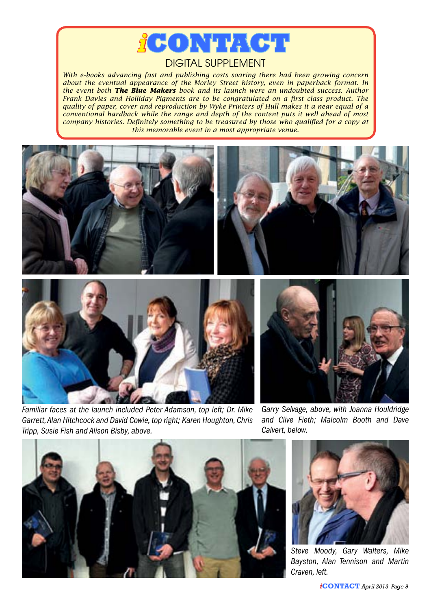

#### DIGITAL SUPPLEMENT

*With e-books advancing fast and publishing costs soaring there had been growing concern about the eventual appearance of the Morley Street history, even in paperback format. In the event both The Blue Makers book and its launch were an undoubted success. Author Frank Davies and Holliday Pigments are to be congratulated on a first class product. The quality of paper, cover and reproduction by Wyke Printers of Hull makes it a near equal of a conventional hardback while the range and depth of the content puts it well ahead of most company histories. Definitely something to be treasured by those who qualified for a copy at this memorable event in a most appropriate venue.*



*Familiar faces at the launch included Peter Adamson, top left; Dr. Mike Garrett, Alan Hitchcock and David Cowie, top right; Karen Houghton, Chris Tripp, Susie Fish and Alison Bisby, above.*

*Garry Selvage, above, with Joanna Houldridge and Clive Fieth; Malcolm Booth and Dave Calvert, below.* 





*Steve Moody, Gary Walters, Mike Bayston, Alan Tennison and Martin Craven, left.*